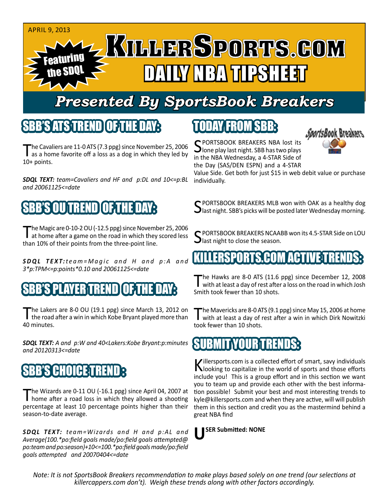#### APRIL 9, 2013 Featuring the SDQL **AIRY NBA TIPSHEET**

## *Presented By SportsBook Breakers*

## SBB'S ATS TREND

The Cavaliers are 11-0 ATS (7.3 ppg) since November 25, 2006<br>as a home favorite off a loss as a dog in which they led by 10+ points.

*SDQL TEXT: team=Cavaliers and HF and p:DL and 10<=p:BL and 20061125<=date*

## SEDUITERENDICU **E**T

The Magic are 0-10-2 OU (-12.5 ppg) since November 25, 2006<br>at home after a game on the road in which they scored less than 10% of their points from the three-point line.

**SDQL TEXT:***team*=Magic and H and p:A and *3\*p:TPM<=p:points\*0.10 and 20061125<=date*

### AYER TREND

The Lakers are 8-0 OU (19.1 ppg) since March 13, 2012 on the road after a win in which Kobe Bryant played more than 40 minutes.

*SDQL TEXT: A and p:W and 40<Lakers:Kobe Bryant:p:minutes and 20120313<=date*

## **SBB'S CHOICE TREN**

The Wizards are 0-11 OU (-16.1 ppg) since April 04, 2007 at home after a road loss in which they allowed a shooting percentage at least 10 percentage points higher than their season-to-date average.

*SDQL TEXT: team=Wizards and H and p:AL and Average(100.\*po:field goals made/po:field goals attempted@ po:team and po:season)+10<=100.\*po:field goals made/po:field goals attempted and 20070404<=date*

## TODAY FROM SBB:

SPORTSBOOK BREAKERS NBA lost its<br>lone play last night. SBB has two plays in the NBA Wednesday, a 4-STAR Side of the Day (SAS/DEN ESPN) and a 4-STAR



Value Side. Get both for just \$15 in web debit value or purchase individually.

C PORTSBOOK BREAKERS MLB won with OAK as a healthy dog  $\bigcup$  last night. SBB's picks will be posted later Wednesday morning.

SPORTSBOOK BREAKERS NCAABB won its 4.5-STAR Side on LOU  $\Box$  last night to close the season.

### (KILLERSPORTS.COM ACTIVE)T

The Hawks are 8-0 ATS (11.6 ppg) since December 12, 2008<br>with at least a day of rest after a loss on the road in which Josh Smith took fewer than 10 shots.

The Mavericks are 8-0 ATS (9.1 ppg) since May 15, 2006 at home<br>with at least a day of rest after a win in which Dirk Nowitzki took fewer than 10 shots.

#### **SUBMITYOURTREN**

Killersports.com is a collected effort of smart, savy individuals<br>Nooking to capitalize in the world of sports and those efforts include you! This is a group effort and in this section we want you to team up and provide each other with the best information possible! Submit your best and most interesting trends to kyle@killersports.com and when they are active, will will publish them in this section and credit you as the mastermind behind a great NBA find

**USER Submitted: NONE**

*Note: It is not SportsBook Breakers recommendation to make plays based solely on one trend (our selections at killercappers.com don't). Weigh these trends along with other factors accordingly.*